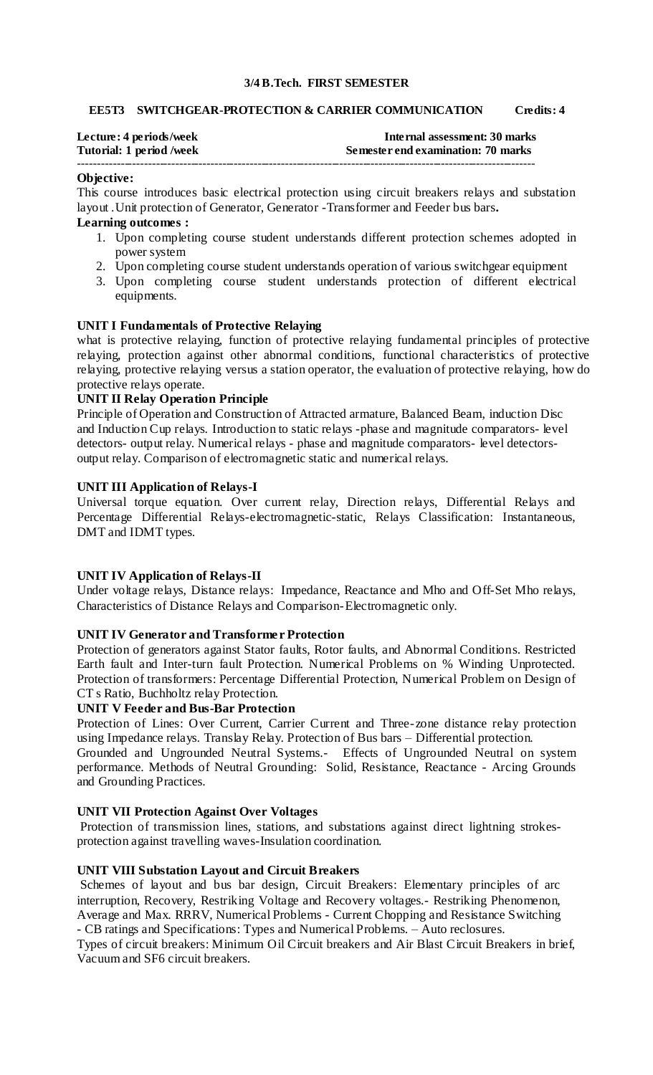#### **3/4 B.Tech. FIRST SEMESTER**

#### **EE5T3 SWITCHGEAR-PROTECTION & CARRIER COMMUNICATION Credits: 4**

| Lecture: 4 periods/week  | Internal assessment: 30 marks      |
|--------------------------|------------------------------------|
| Tutorial: 1 period /week | Semester end examination: 70 marks |
|                          |                                    |

### **Objective:**

This course introduces basic electrical protection using circuit breakers relays and substation layout .Unit protection of Generator, Generator -Transformer and Feeder bus bars**. Learning outcomes :** 

- 1. Upon completing course student understands different protection schemes adopted in power system
- 2. Upon completing course student understands operation of various switchgear equipment
- 3. Upon completing course student understands protection of different electrical equipments.

## **UNIT I Fundamentals of Protective Relaying**

what is protective relaying, function of protective relaying fundamental principles of protective relaying, protection against other abnormal conditions, functional characteristics of protective relaying, protective relaying versus a station operator, the evaluation of protective relaying, how do protective relays operate.

### **UNIT II Relay Operation Principle**

Principle of Operation and Construction of Attracted armature, Balanced Beam, induction Disc and Induction Cup relays. Introduction to static relays -phase and magnitude comparators- level detectors- output relay. Numerical relays - phase and magnitude comparators- level detectorsoutput relay. Comparison of electromagnetic static and numerical relays.

### **UNIT III Application of Relays-I**

Universal torque equation. Over current relay, Direction relays, Differential Relays and Percentage Differential Relays-electromagnetic-static, Relays Classification: Instantaneous, DMT and IDMT types.

#### **UNIT IV Application of Relays-II**

Under voltage relays, Distance relays: Impedance, Reactance and Mho and Off-Set Mho relays, Characteristics of Distance Relays and Comparison-Electromagnetic only.

## **UNIT IV Generator and Transformer Protection**

Protection of generators against Stator faults, Rotor faults, and Abnormal Conditions. Restricted Earth fault and Inter-turn fault Protection. Numerical Problems on % Winding Unprotected. Protection of transformers: Percentage Differential Protection, Numerical Problem on Design of CT s Ratio, Buchholtz relay Protection.

#### **UNIT V Feeder and Bus-Bar Protection**

Protection of Lines: Over Current, Carrier Current and Three-zone distance relay protection using Impedance relays. Translay Relay. Protection of Bus bars – Differential protection.

Grounded and Ungrounded Neutral Systems.- Effects of Ungrounded Neutral on system performance. Methods of Neutral Grounding: Solid, Resistance, Reactance - Arcing Grounds and Grounding Practices.

## **UNIT VII Protection Against Over Voltages**

Protection of transmission lines, stations, and substations against direct lightning strokesprotection against travelling waves-Insulation coordination.

#### **UNIT VIII Substation Layout and Circuit Breakers**

Schemes of layout and bus bar design, Circuit Breakers: Elementary principles of arc interruption, Recovery, Restriking Voltage and Recovery voltages.- Restriking Phenomenon, Average and Max. RRRV, Numerical Problems - Current Chopping and Resistance Switching - CB ratings and Specifications: Types and Numerical Problems. – Auto reclosures.

Types of circuit breakers: Minimum Oil Circuit breakers and Air Blast Circuit Breakers in brief, Vacuum and SF6 circuit breakers.